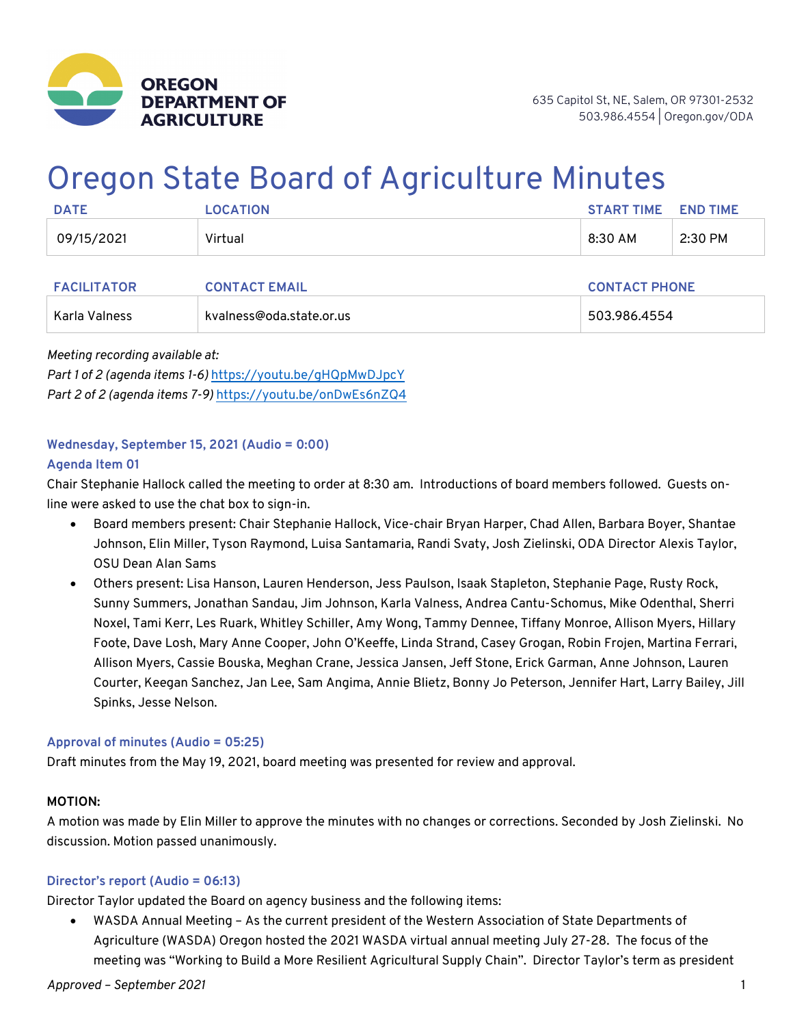

# Oregon State Board of Agriculture Minutes

| <b>DATE</b> | <b>OCATION</b> | <b>START TIME</b> | <b>END TIME</b> |
|-------------|----------------|-------------------|-----------------|
| 09/15/2021  | Virtual        | 8:30 AM           | 2:30 PM         |

| <b>FACILITATOR</b> | <b>CONTACT EMAIL</b>     | <b>CONTACT PHONE</b> |
|--------------------|--------------------------|----------------------|
| Karla Valness      | kvalness@oda.state.or.us | 503.986.4554         |

*Meeting recording available at: Part 1 of 2 (agenda items 1-6)* https://youtu.be/gHQpMwDJpcY *Part 2 of 2 (agenda items 7-9)* https://youtu.be/onDwEs6nZQ4

# **Wednesday, September 15, 2021 (Audio = 0:00) Agenda Item 01**

Chair Stephanie Hallock called the meeting to order at 8:30 am. Introductions of board members followed. Guests online were asked to use the chat box to sign-in.

- Board members present: Chair Stephanie Hallock, Vice-chair Bryan Harper, Chad Allen, Barbara Boyer, Shantae Johnson, Elin Miller, Tyson Raymond, Luisa Santamaria, Randi Svaty, Josh Zielinski, ODA Director Alexis Taylor, OSU Dean Alan Sams
- Others present: Lisa Hanson, Lauren Henderson, Jess Paulson, Isaak Stapleton, Stephanie Page, Rusty Rock, Sunny Summers, Jonathan Sandau, Jim Johnson, Karla Valness, Andrea Cantu-Schomus, Mike Odenthal, Sherri Noxel, Tami Kerr, Les Ruark, Whitley Schiller, Amy Wong, Tammy Dennee, Tiffany Monroe, Allison Myers, Hillary Foote, Dave Losh, Mary Anne Cooper, John O'Keeffe, Linda Strand, Casey Grogan, Robin Frojen, Martina Ferrari, Allison Myers, Cassie Bouska, Meghan Crane, Jessica Jansen, Jeff Stone, Erick Garman, Anne Johnson, Lauren Courter, Keegan Sanchez, Jan Lee, Sam Angima, Annie Blietz, Bonny Jo Peterson, Jennifer Hart, Larry Bailey, Jill Spinks, Jesse Nelson.

# **Approval of minutes (Audio = 05:25)**

Draft minutes from the May 19, 2021, board meeting was presented for review and approval.

# **MOTION:**

A motion was made by Elin Miller to approve the minutes with no changes or corrections. Seconded by Josh Zielinski. No discussion. Motion passed unanimously.

#### **Director's report (Audio = 06:13)**

Director Taylor updated the Board on agency business and the following items:

• WASDA Annual Meeting – As the current president of the Western Association of State Departments of Agriculture (WASDA) Oregon hosted the 2021 WASDA virtual annual meeting July 27-28. The focus of the meeting was "Working to Build a More Resilient Agricultural Supply Chain". Director Taylor's term as president

*Approved – September 2021* 1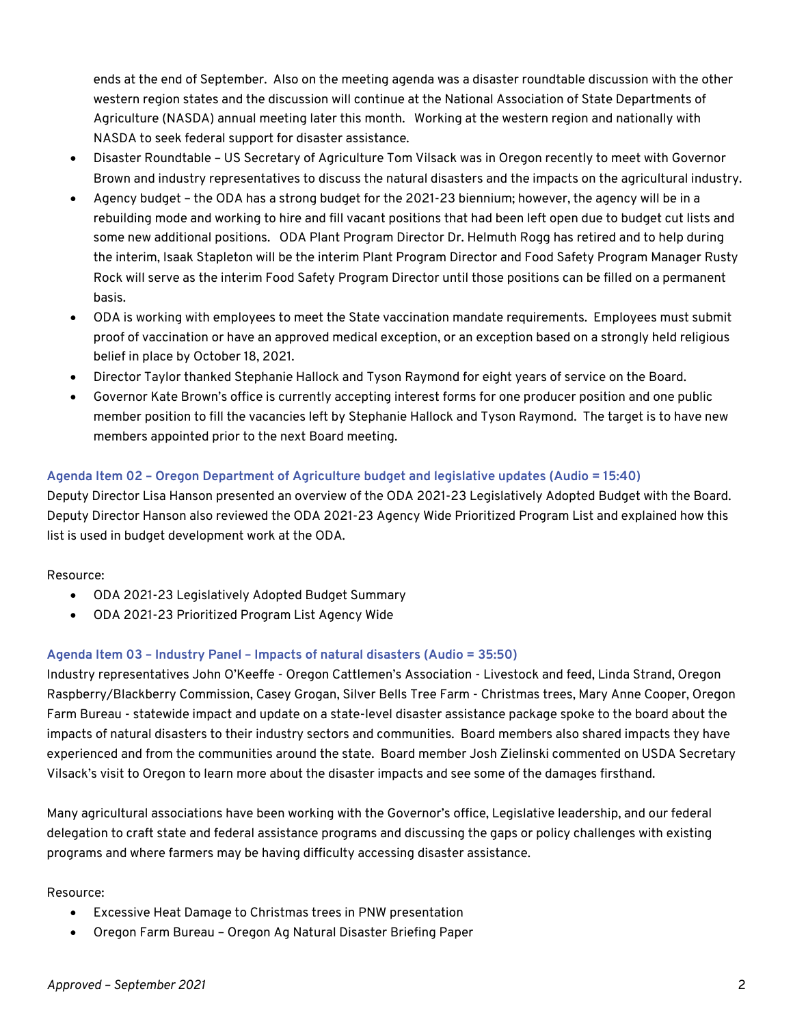ends at the end of September. Also on the meeting agenda was a disaster roundtable discussion with the other western region states and the discussion will continue at the National Association of State Departments of Agriculture (NASDA) annual meeting later this month. Working at the western region and nationally with NASDA to seek federal support for disaster assistance.

- Disaster Roundtable US Secretary of Agriculture Tom Vilsack was in Oregon recently to meet with Governor Brown and industry representatives to discuss the natural disasters and the impacts on the agricultural industry.
- Agency budget the ODA has a strong budget for the 2021-23 biennium; however, the agency will be in a rebuilding mode and working to hire and fill vacant positions that had been left open due to budget cut lists and some new additional positions. ODA Plant Program Director Dr. Helmuth Rogg has retired and to help during the interim, Isaak Stapleton will be the interim Plant Program Director and Food Safety Program Manager Rusty Rock will serve as the interim Food Safety Program Director until those positions can be filled on a permanent basis.
- ODA is working with employees to meet the State vaccination mandate requirements. Employees must submit proof of vaccination or have an approved medical exception, or an exception based on a strongly held religious belief in place by October 18, 2021.
- Director Taylor thanked Stephanie Hallock and Tyson Raymond for eight years of service on the Board.
- Governor Kate Brown's office is currently accepting interest forms for one producer position and one public member position to fill the vacancies left by Stephanie Hallock and Tyson Raymond. The target is to have new members appointed prior to the next Board meeting.

# **Agenda Item 02 – Oregon Department of Agriculture budget and legislative updates (Audio = 15:40)**

Deputy Director Lisa Hanson presented an overview of the ODA 2021-23 Legislatively Adopted Budget with the Board. Deputy Director Hanson also reviewed the ODA 2021-23 Agency Wide Prioritized Program List and explained how this list is used in budget development work at the ODA.

Resource:

- ODA 2021-23 Legislatively Adopted Budget Summary
- ODA 2021-23 Prioritized Program List Agency Wide

# **Agenda Item 03 – Industry Panel – Impacts of natural disasters (Audio = 35:50)**

Industry representatives John O'Keeffe - Oregon Cattlemen's Association - Livestock and feed, Linda Strand, Oregon Raspberry/Blackberry Commission, Casey Grogan, Silver Bells Tree Farm - Christmas trees, Mary Anne Cooper, Oregon Farm Bureau - statewide impact and update on a state-level disaster assistance package spoke to the board about the impacts of natural disasters to their industry sectors and communities. Board members also shared impacts they have experienced and from the communities around the state. Board member Josh Zielinski commented on USDA Secretary Vilsack's visit to Oregon to learn more about the disaster impacts and see some of the damages firsthand.

Many agricultural associations have been working with the Governor's office, Legislative leadership, and our federal delegation to craft state and federal assistance programs and discussing the gaps or policy challenges with existing programs and where farmers may be having difficulty accessing disaster assistance.

# Resource:

- Excessive Heat Damage to Christmas trees in PNW presentation
- Oregon Farm Bureau Oregon Ag Natural Disaster Briefing Paper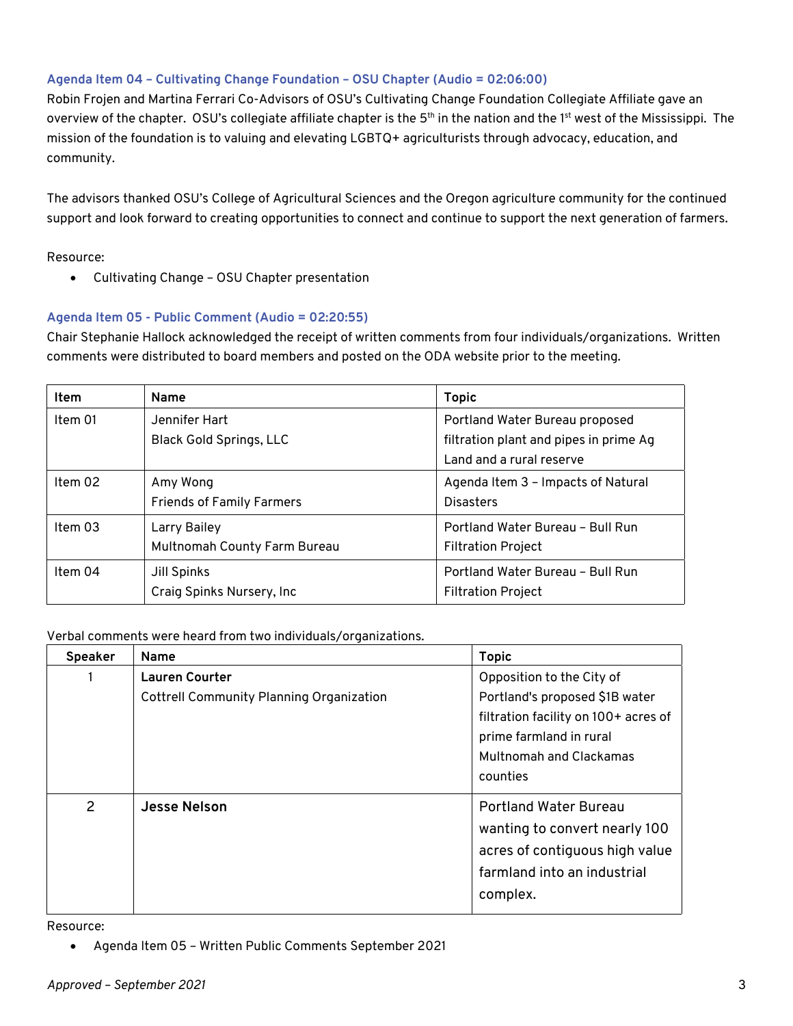### **Agenda Item 04 – Cultivating Change Foundation – OSU Chapter (Audio = 02:06:00)**

Robin Frojen and Martina Ferrari Co-Advisors of OSU's Cultivating Change Foundation Collegiate Affiliate gave an overview of the chapter. OSU's collegiate affiliate chapter is the 5<sup>th</sup> in the nation and the 1<sup>st</sup> west of the Mississippi. The mission of the foundation is to valuing and elevating LGBTQ+ agriculturists through advocacy, education, and community.

The advisors thanked OSU's College of Agricultural Sciences and the Oregon agriculture community for the continued support and look forward to creating opportunities to connect and continue to support the next generation of farmers.

Resource:

• Cultivating Change – OSU Chapter presentation

#### **Agenda Item 05 - Public Comment (Audio = 02:20:55)**

Chair Stephanie Hallock acknowledged the receipt of written comments from four individuals/organizations. Written comments were distributed to board members and posted on the ODA website prior to the meeting.

| <b>Item</b> | <b>Name</b>                      | <b>Topic</b>                           |
|-------------|----------------------------------|----------------------------------------|
| Item 01     | Jennifer Hart                    | Portland Water Bureau proposed         |
|             | <b>Black Gold Springs, LLC</b>   | filtration plant and pipes in prime Ag |
|             |                                  | Land and a rural reserve               |
| Item $02$   | Amy Wong                         | Agenda Item 3 - Impacts of Natural     |
|             | <b>Friends of Family Farmers</b> | <b>Disasters</b>                       |
| Item $03$   | Larry Bailey                     | Portland Water Bureau - Bull Run       |
|             | Multnomah County Farm Bureau     | <b>Filtration Project</b>              |
| Item 04     | Jill Spinks                      | Portland Water Bureau - Bull Run       |
|             | Craig Spinks Nursery, Inc.       | <b>Filtration Project</b>              |

Verbal comments were heard from two individuals/organizations.

| Speaker | Name                                                              | <b>Topic</b>                                                                                                                                                                 |
|---------|-------------------------------------------------------------------|------------------------------------------------------------------------------------------------------------------------------------------------------------------------------|
|         | Lauren Courter<br><b>Cottrell Community Planning Organization</b> | Opposition to the City of<br>Portland's proposed \$1B water<br>filtration facility on 100+ acres of<br>prime farmland in rural<br><b>Multnomah and Clackamas</b><br>counties |
| 2       | <b>Jesse Nelson</b>                                               | <b>Portland Water Bureau</b><br>wanting to convert nearly 100<br>acres of contiguous high value<br>farmland into an industrial<br>complex.                                   |

Resource:

• Agenda Item 05 – Written Public Comments September 2021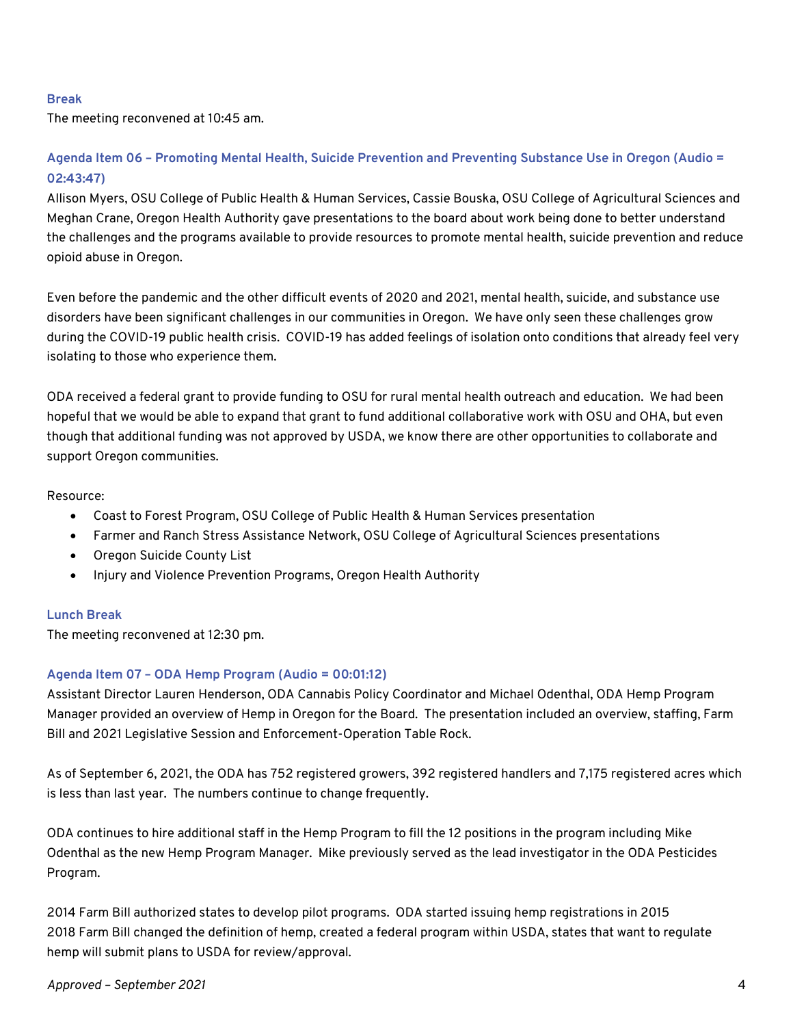#### **Break**

The meeting reconvened at 10:45 am.

# **Agenda Item 06 – Promoting Mental Health, Suicide Prevention and Preventing Substance Use in Oregon (Audio = 02:43:47)**

Allison Myers, OSU College of Public Health & Human Services, Cassie Bouska, OSU College of Agricultural Sciences and Meghan Crane, Oregon Health Authority gave presentations to the board about work being done to better understand the challenges and the programs available to provide resources to promote mental health, suicide prevention and reduce opioid abuse in Oregon.

Even before the pandemic and the other difficult events of 2020 and 2021, mental health, suicide, and substance use disorders have been significant challenges in our communities in Oregon. We have only seen these challenges grow during the COVID-19 public health crisis. COVID-19 has added feelings of isolation onto conditions that already feel very isolating to those who experience them.

ODA received a federal grant to provide funding to OSU for rural mental health outreach and education. We had been hopeful that we would be able to expand that grant to fund additional collaborative work with OSU and OHA, but even though that additional funding was not approved by USDA, we know there are other opportunities to collaborate and support Oregon communities.

#### Resource:

- Coast to Forest Program, OSU College of Public Health & Human Services presentation
- Farmer and Ranch Stress Assistance Network, OSU College of Agricultural Sciences presentations
- Oregon Suicide County List
- Injury and Violence Prevention Programs, Oregon Health Authority

#### **Lunch Break**

The meeting reconvened at 12:30 pm.

#### **Agenda Item 07 – ODA Hemp Program (Audio = 00:01:12)**

Assistant Director Lauren Henderson, ODA Cannabis Policy Coordinator and Michael Odenthal, ODA Hemp Program Manager provided an overview of Hemp in Oregon for the Board. The presentation included an overview, staffing, Farm Bill and 2021 Legislative Session and Enforcement-Operation Table Rock.

As of September 6, 2021, the ODA has 752 registered growers, 392 registered handlers and 7,175 registered acres which is less than last year. The numbers continue to change frequently.

ODA continues to hire additional staff in the Hemp Program to fill the 12 positions in the program including Mike Odenthal as the new Hemp Program Manager. Mike previously served as the lead investigator in the ODA Pesticides Program.

2014 Farm Bill authorized states to develop pilot programs. ODA started issuing hemp registrations in 2015 2018 Farm Bill changed the definition of hemp, created a federal program within USDA, states that want to regulate hemp will submit plans to USDA for review/approval.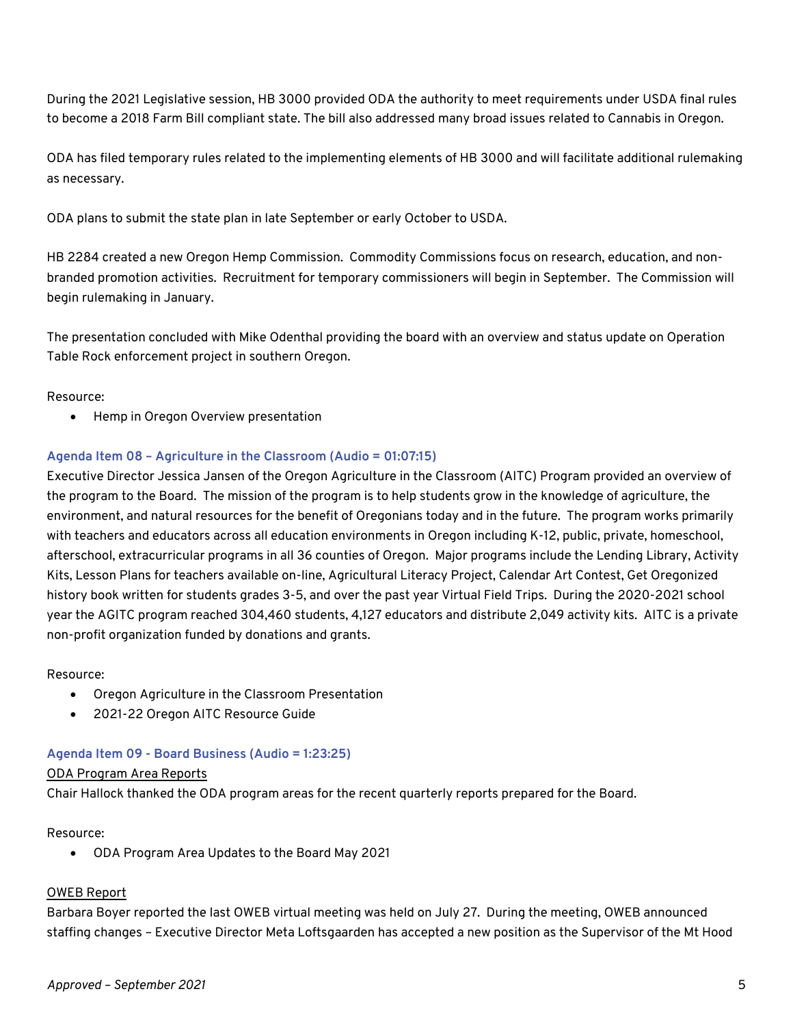During the 2021 Legislative session, HB 3000 provided ODA the authority to meet requirements under USDA final rules to become a 2018 Farm Bill compliant state. The bill also addressed many broad issues related to Cannabis in Oregon.

ODA has filed temporary rules related to the implementing elements of HB 3000 and will facilitate additional rulemaking as necessary.

ODA plans to submit the state plan in late September or early October to USDA.

HB 2284 created a new Oregon Hemp Commission. Commodity Commissions focus on research, education, and nonbranded promotion activities. Recruitment for temporary commissioners will begin in September. The Commission will begin rulemaking in January.

The presentation concluded with Mike Odenthal providing the board with an overview and status update on Operation Table Rock enforcement project in southern Oregon.

#### Resource:

• Hemp in Oregon Overview presentation

#### **Agenda Item 08 – Agriculture in the Classroom (Audio = 01:07:15)**

Executive Director Jessica Jansen of the Oregon Agriculture in the Classroom (AITC) Program provided an overview of the program to the Board. The mission of the program is to help students grow in the knowledge of agriculture, the environment, and natural resources for the benefit of Oregonians today and in the future. The program works primarily with teachers and educators across all education environments in Oregon including K-12, public, private, homeschool, afterschool, extracurricular programs in all 36 counties of Oregon. Major programs include the Lending Library, Activity Kits, Lesson Plans for teachers available on-line, Agricultural Literacy Project, Calendar Art Contest, Get Oregonized history book written for students grades 3-5, and over the past year Virtual Field Trips. During the 2020-2021 school year the AGITC program reached 304,460 students, 4,127 educators and distribute 2,049 activity kits. AITC is a private non-profit organization funded by donations and grants.

#### Resource:

- Oregon Agriculture in the Classroom Presentation
- 2021-22 Oregon AITC Resource Guide

#### **Agenda Item 09 - Board Business (Audio = 1:23:25)**

#### ODA Program Area Reports

Chair Hallock thanked the ODA program areas for the recent quarterly reports prepared for the Board.

#### Resource:

• ODA Program Area Updates to the Board May 2021

#### OWEB Report

Barbara Boyer reported the last OWEB virtual meeting was held on July 27. During the meeting, OWEB announced staffing changes – Executive Director Meta Loftsgaarden has accepted a new position as the Supervisor of the Mt Hood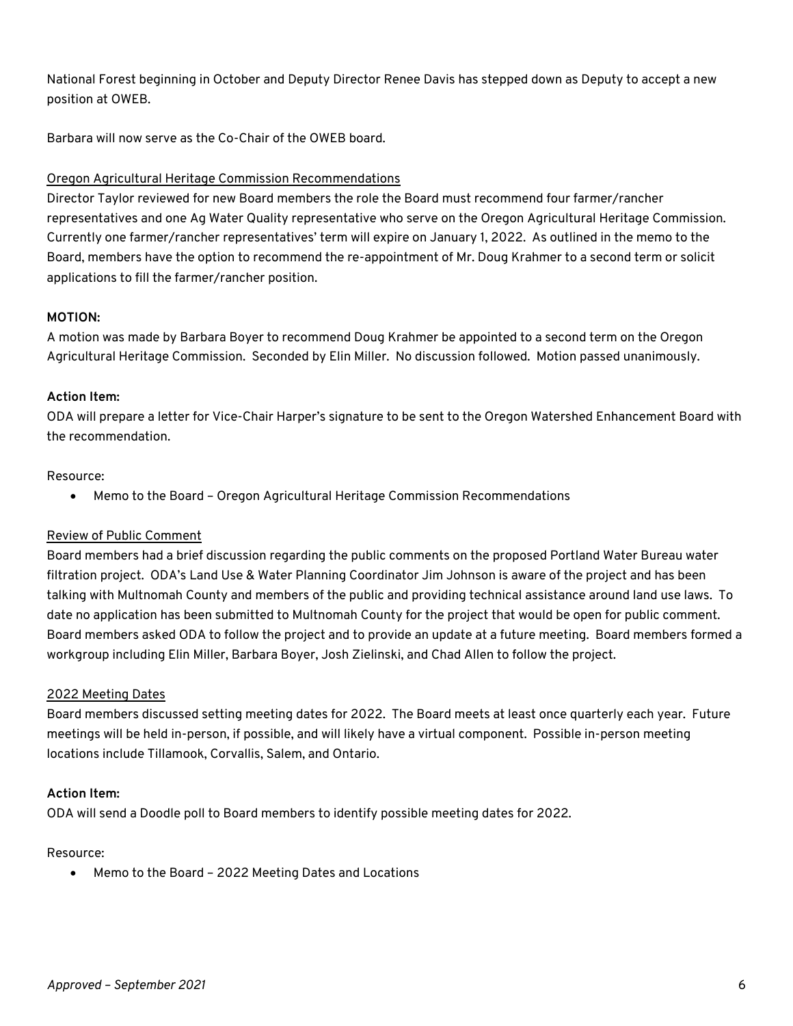National Forest beginning in October and Deputy Director Renee Davis has stepped down as Deputy to accept a new position at OWEB.

Barbara will now serve as the Co-Chair of the OWEB board.

# Oregon Agricultural Heritage Commission Recommendations

Director Taylor reviewed for new Board members the role the Board must recommend four farmer/rancher representatives and one Ag Water Quality representative who serve on the Oregon Agricultural Heritage Commission. Currently one farmer/rancher representatives' term will expire on January 1, 2022. As outlined in the memo to the Board, members have the option to recommend the re-appointment of Mr. Doug Krahmer to a second term or solicit applications to fill the farmer/rancher position.

#### **MOTION:**

A motion was made by Barbara Boyer to recommend Doug Krahmer be appointed to a second term on the Oregon Agricultural Heritage Commission. Seconded by Elin Miller. No discussion followed. Motion passed unanimously.

#### **Action Item:**

ODA will prepare a letter for Vice-Chair Harper's signature to be sent to the Oregon Watershed Enhancement Board with the recommendation.

#### Resource:

• Memo to the Board – Oregon Agricultural Heritage Commission Recommendations

# Review of Public Comment

Board members had a brief discussion regarding the public comments on the proposed Portland Water Bureau water filtration project. ODA's Land Use & Water Planning Coordinator Jim Johnson is aware of the project and has been talking with Multnomah County and members of the public and providing technical assistance around land use laws. To date no application has been submitted to Multnomah County for the project that would be open for public comment. Board members asked ODA to follow the project and to provide an update at a future meeting. Board members formed a workgroup including Elin Miller, Barbara Boyer, Josh Zielinski, and Chad Allen to follow the project.

#### 2022 Meeting Dates

Board members discussed setting meeting dates for 2022. The Board meets at least once quarterly each year. Future meetings will be held in-person, if possible, and will likely have a virtual component. Possible in-person meeting locations include Tillamook, Corvallis, Salem, and Ontario.

#### **Action Item:**

ODA will send a Doodle poll to Board members to identify possible meeting dates for 2022.

#### Resource:

• Memo to the Board – 2022 Meeting Dates and Locations